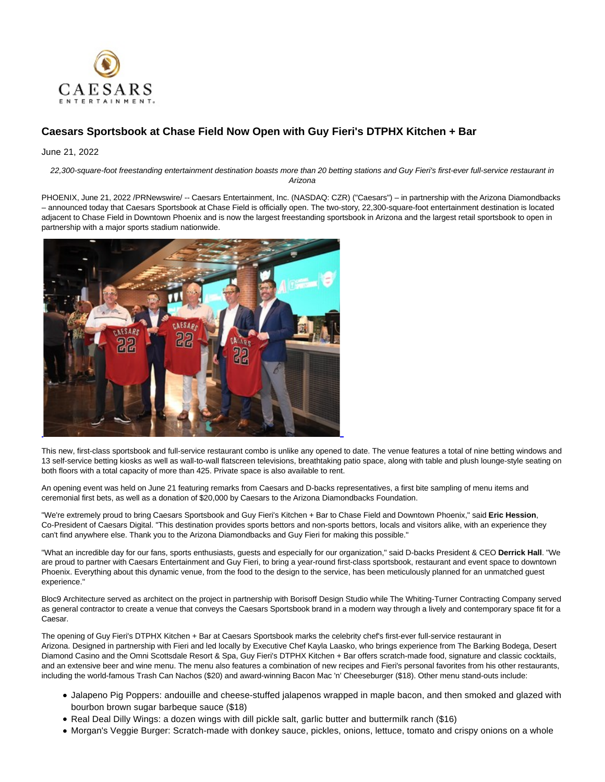

## **Caesars Sportsbook at Chase Field Now Open with Guy Fieri's DTPHX Kitchen + Bar**

June 21, 2022

22,300-square-foot freestanding entertainment destination boasts more than 20 betting stations and Guy Fieri's first-ever full-service restaurant in Arizona

PHOENIX, June 21, 2022 /PRNewswire/ -- Caesars Entertainment, Inc. (NASDAQ: CZR) ("Caesars") – in partnership with the Arizona Diamondbacks – announced today that Caesars Sportsbook at Chase Field is officially open. The two-story, 22,300-square-foot entertainment destination is located adjacent to Chase Field in Downtown Phoenix and is now the largest freestanding sportsbook in Arizona and the largest retail sportsbook to open in partnership with a major sports stadium nationwide.



This new, first-class sportsbook and full-service restaurant combo is unlike any opened to date. The venue features a total of nine betting windows and 13 self-service betting kiosks as well as wall-to-wall flatscreen televisions, breathtaking patio space, along with table and plush lounge-style seating on both floors with a total capacity of more than 425. Private space is also available to rent.

An opening event was held on June 21 featuring remarks from Caesars and D-backs representatives, a first bite sampling of menu items and ceremonial first bets, as well as a donation of \$20,000 by Caesars to the Arizona Diamondbacks Foundation.

"We're extremely proud to bring Caesars Sportsbook and Guy Fieri's Kitchen + Bar to Chase Field and Downtown Phoenix," said **Eric Hession**, Co-President of Caesars Digital. "This destination provides sports bettors and non-sports bettors, locals and visitors alike, with an experience they can't find anywhere else. Thank you to the Arizona Diamondbacks and Guy Fieri for making this possible."

"What an incredible day for our fans, sports enthusiasts, guests and especially for our organization," said D-backs President & CEO **Derrick Hall**. "We are proud to partner with Caesars Entertainment and Guy Fieri, to bring a year-round first-class sportsbook, restaurant and event space to downtown Phoenix. Everything about this dynamic venue, from the food to the design to the service, has been meticulously planned for an unmatched guest experience."

Bloc9 Architecture served as architect on the project in partnership with Borisoff Design Studio while The Whiting-Turner Contracting Company served as general contractor to create a venue that conveys the Caesars Sportsbook brand in a modern way through a lively and contemporary space fit for a Caesar.

The opening of Guy Fieri's DTPHX Kitchen + Bar at Caesars Sportsbook marks the celebrity chef's first-ever full-service restaurant in Arizona. Designed in partnership with Fieri and led locally by Executive Chef Kayla Laasko, who brings experience from The Barking Bodega, Desert Diamond Casino and the Omni Scottsdale Resort & Spa, Guy Fieri's DTPHX Kitchen + Bar offers scratch-made food, signature and classic cocktails, and an extensive beer and wine menu. The menu also features a combination of new recipes and Fieri's personal favorites from his other restaurants, including the world-famous Trash Can Nachos (\$20) and award-winning Bacon Mac 'n' Cheeseburger (\$18). Other menu stand-outs include:

- Jalapeno Pig Poppers: andouille and cheese-stuffed jalapenos wrapped in maple bacon, and then smoked and glazed with bourbon brown sugar barbeque sauce (\$18)
- Real Deal Dilly Wings: a dozen wings with dill pickle salt, garlic butter and buttermilk ranch (\$16)
- Morgan's Veggie Burger: Scratch-made with donkey sauce, pickles, onions, lettuce, tomato and crispy onions on a whole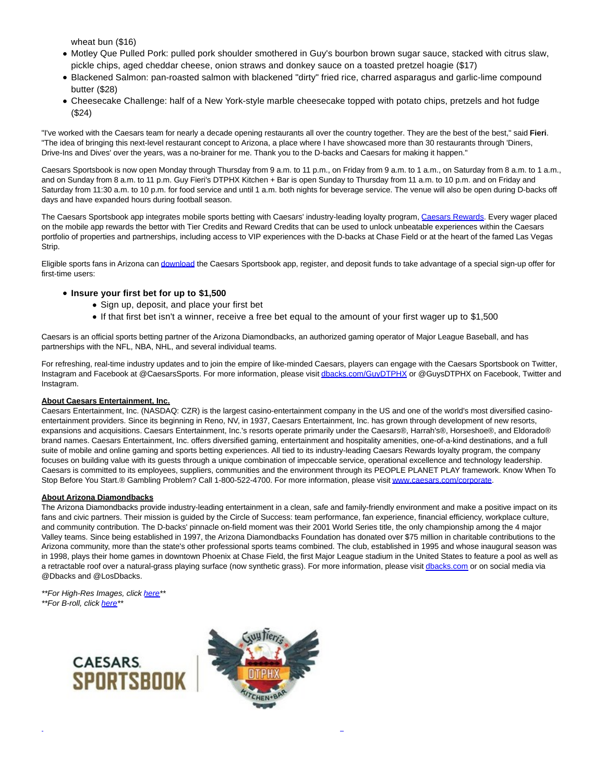wheat bun (\$16)

- Motley Que Pulled Pork: pulled pork shoulder smothered in Guy's bourbon brown sugar sauce, stacked with citrus slaw, pickle chips, aged cheddar cheese, onion straws and donkey sauce on a toasted pretzel hoagie (\$17)
- Blackened Salmon: pan-roasted salmon with blackened "dirty" fried rice, charred asparagus and garlic-lime compound butter (\$28)
- Cheesecake Challenge: half of a New York-style marble cheesecake topped with potato chips, pretzels and hot fudge (\$24)

"I've worked with the Caesars team for nearly a decade opening restaurants all over the country together. They are the best of the best," said **Fieri**. "The idea of bringing this next-level restaurant concept to Arizona, a place where I have showcased more than 30 restaurants through 'Diners, Drive-Ins and Dives' over the years, was a no-brainer for me. Thank you to the D-backs and Caesars for making it happen."

Caesars Sportsbook is now open Monday through Thursday from 9 a.m. to 11 p.m., on Friday from 9 a.m. to 1 a.m. on Saturday from 8 a.m. to 1 a.m., and on Sunday from 8 a.m. to 11 p.m. Guy Fieri's DTPHX Kitchen + Bar is open Sunday to Thursday from 11 a.m. to 10 p.m. and on Friday and Saturday from 11:30 a.m. to 10 p.m. for food service and until 1 a.m. both nights for beverage service. The venue will also be open during D-backs off days and have expanded hours during football season.

The Caesars Sportsbook app integrates mobile sports betting with Caesars' industry-leading loyalty program, [Caesars Rewards.](https://c212.net/c/link/?t=0&l=en&o=3573778-1&h=622751268&u=https%3A%2F%2Fwww.caesars.com%2Fmyrewards&a=Caesars+Rewards) Every wager placed on the mobile app rewards the bettor with Tier Credits and Reward Credits that can be used to unlock unbeatable experiences within the Caesars portfolio of properties and partnerships, including access to VIP experiences with the D-backs at Chase Field or at the heart of the famed Las Vegas Strip.

Eligible sports fans in Arizona ca[n download t](https://c212.net/c/link/?t=0&l=en&o=3573778-1&h=1156575511&u=https%3A%2F%2Fwww.williamhill.com%2Fus%2Faz%2Fget-the-app&a=download)he Caesars Sportsbook app, register, and deposit funds to take advantage of a special sign-up offer for first-time users:

## **Insure your first bet for up to \$1,500**

- Sign up, deposit, and place your first bet
- If that first bet isn't a winner, receive a free bet equal to the amount of your first wager up to \$1,500

Caesars is an official sports betting partner of the Arizona Diamondbacks, an authorized gaming operator of Major League Baseball, and has partnerships with the NFL, NBA, NHL, and several individual teams.

For refreshing, real-time industry updates and to join the empire of like-minded Caesars, players can engage with the Caesars Sportsbook on Twitter, Instagram and Facebook at @CaesarsSports. For more information, please visi[t dbacks.com/GuyDTPHX o](https://c212.net/c/link/?t=0&l=en&o=3573778-1&h=3550880831&u=https%3A%2F%2Fwww.dbacks.com%2FGuyDTPHX&a=dbacks.com%2FGuyDTPHX)r @GuysDTPHX on Facebook, Twitter and Instagram.

## **About Caesars Entertainment, Inc.**

Caesars Entertainment, Inc. (NASDAQ: CZR) is the largest casino-entertainment company in the US and one of the world's most diversified casinoentertainment providers. Since its beginning in Reno, NV, in 1937, Caesars Entertainment, Inc. has grown through development of new resorts, expansions and acquisitions. Caesars Entertainment, Inc.'s resorts operate primarily under the Caesars®, Harrah's®, Horseshoe®, and Eldorado® brand names. Caesars Entertainment, Inc. offers diversified gaming, entertainment and hospitality amenities, one-of-a-kind destinations, and a full suite of mobile and online gaming and sports betting experiences. All tied to its industry-leading Caesars Rewards loyalty program, the company focuses on building value with its guests through a unique combination of impeccable service, operational excellence and technology leadership. Caesars is committed to its employees, suppliers, communities and the environment through its PEOPLE PLANET PLAY framework. Know When To Stop Before You Start.® Gambling Problem? Call 1-800-522-4700. For more information, please visi[t www.caesars.com/corporate.](https://c212.net/c/link/?t=0&l=en&o=3573778-1&h=3976796007&u=https%3A%2F%2Furldefense.proofpoint.com%2Fv2%2Furl%3Fu%3Dhttps-3A__c212.net_c_link_-3Ft-3D0-26l-3Den-26o-3D3244422-2D1-26h-3D3063613626-26u-3Dhttp-253A-252F-252Fwww.caesars.com-252Fcorporate-26a-3Dwww.caesars.com-252Fcorporate%26d%3DDwMGaQ%26c%3DP4PXXUBERirwlJNc_5PLAA%26r%3DObT_S2fspMgZflW0mHF5GWXba-9oEAOGRUAwoMeN8Ew%26m%3D7AAow_XzEAozJmUwELOC9ud_P997boj5Xms4VD_HuoA%26s%3DzGN7lFyZbk5HprrWLHCkHVAlnAbCq7e4ynztpxx4GnY%26e%3D&a=www.caesars.com%2Fcorporate)

## **About Arizona Diamondbacks**

The Arizona Diamondbacks provide industry-leading entertainment in a clean, safe and family-friendly environment and make a positive impact on its fans and civic partners. Their mission is guided by the Circle of Success: team performance, fan experience, financial efficiency, workplace culture, and community contribution. The D-backs' pinnacle on-field moment was their 2001 World Series title, the only championship among the 4 major Valley teams. Since being established in 1997, the Arizona Diamondbacks Foundation has donated over \$75 million in charitable contributions to the Arizona community, more than the state's other professional sports teams combined. The club, established in 1995 and whose inaugural season was in 1998, plays their home games in downtown Phoenix at Chase Field, the first Major League stadium in the United States to feature a pool as well as a retractable roof over a natural-grass playing surface (now synthetic grass). For more information, please visi[t dbacks.com o](http://dbacks.com/)r on social media via @Dbacks and @LosDbacks.

L

\*\*For High-Res Images, click [here\\*\\*](https://c212.net/c/link/?t=0&l=en&o=3573778-1&h=180910850&u=https%3A%2F%2Fwww.dropbox.com%2Fscl%2Ffo%2Fm88tdxjuzu2oj1w5k0yxe%2Fh%3Fdl%3D0%26rlkey%3Due4envsqyg7twdq14mgqhb1e7&a=here) \*\*For B-roll, click [here\\*\\*](https://c212.net/c/link/?t=0&l=en&o=3573778-1&h=2686988394&u=https%3A%2F%2Fvimeo.com%2F722701617%2F384485d620&a=here)